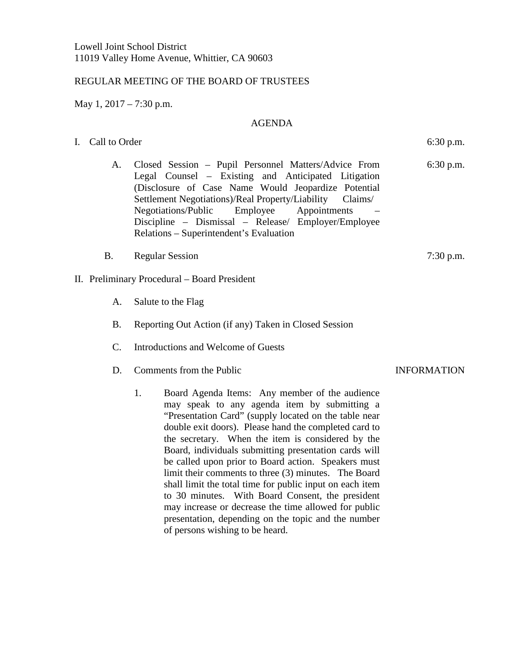## REGULAR MEETING OF THE BOARD OF TRUSTEES

May 1, 2017 – 7:30 p.m.

## AGENDA

I. Call to Order 6:30 p.m.

- A. Closed Session Pupil Personnel Matters/Advice From Legal Counsel – Existing and Anticipated Litigation (Disclosure of Case Name Would Jeopardize Potential Settlement Negotiations)/Real Property/Liability Claims/ Negotiations/Public Employee Appointments – Discipline – Dismissal – Release/ Employer/Employee Relations – Superintendent's Evaluation
- B. Regular Session 7:30 p.m.

## II. Preliminary Procedural – Board President

- A. Salute to the Flag
- B. Reporting Out Action (if any) Taken in Closed Session
- C. Introductions and Welcome of Guests
- D. Comments from the Public INFORMATION
	- 1. Board Agenda Items: Any member of the audience may speak to any agenda item by submitting a "Presentation Card" (supply located on the table near double exit doors). Please hand the completed card to the secretary. When the item is considered by the Board, individuals submitting presentation cards will be called upon prior to Board action. Speakers must limit their comments to three (3) minutes. The Board shall limit the total time for public input on each item to 30 minutes. With Board Consent, the president may increase or decrease the time allowed for public presentation, depending on the topic and the number of persons wishing to be heard.

6:30 p.m.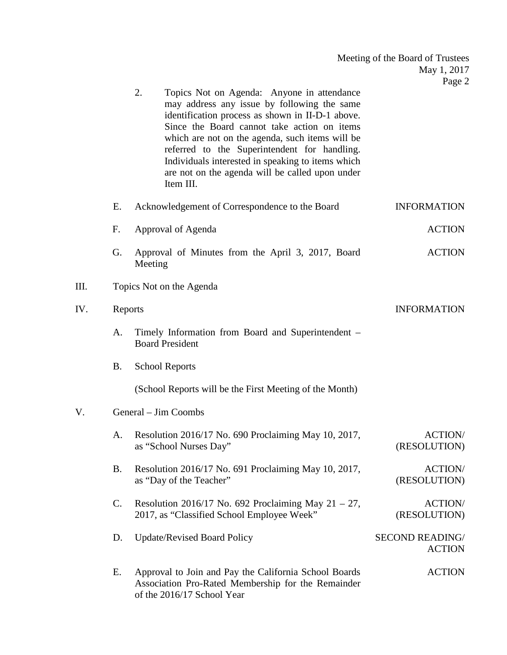| Meeting of the Board of Trustees |  |
|----------------------------------|--|
| May 1, 2017                      |  |
| Page 2                           |  |

2. Topics Not on Agenda: Anyone in attendance may address any issue by following the same identification process as shown in II-D-1 above. Since the Board cannot take action on items which are not on the agenda, such items will be referred to the Superintendent for handling. Individuals interested in speaking to items which are not on the agenda will be called upon under Item III.

| E.        | Acknowledgement of Correspondence to the Board    | <b>INFORMATION</b> |  |  |
|-----------|---------------------------------------------------|--------------------|--|--|
| <b>F.</b> | Approval of Agenda                                | <b>ACTION</b>      |  |  |
| G.        | Approval of Minutes from the April 3, 2017, Board | <b>ACTION</b>      |  |  |

III. Topics Not on the Agenda

Meeting

of the 2016/17 School Year

## IV. Reports INFORMATION A. Timely Information from Board and Superintendent – Board President B. School Reports (School Reports will be the First Meeting of the Month) V. General – Jim Coombs A. Resolution 2016/17 No. 690 Proclaiming May 10, 2017, as "School Nurses Day" ACTION/ (RESOLUTION) B. Resolution 2016/17 No. 691 Proclaiming May 10, 2017, as "Day of the Teacher" ACTION/ (RESOLUTION) C. Resolution 2016/17 No. 692 Proclaiming May  $21 - 27$ , 2017, as "Classified School Employee Week" ACTION/ (RESOLUTION) D. Update/Revised Board Policy SECOND READING/ ACTION E. Approval to Join and Pay the California School Boards Association Pro-Rated Membership for the Remainder ACTION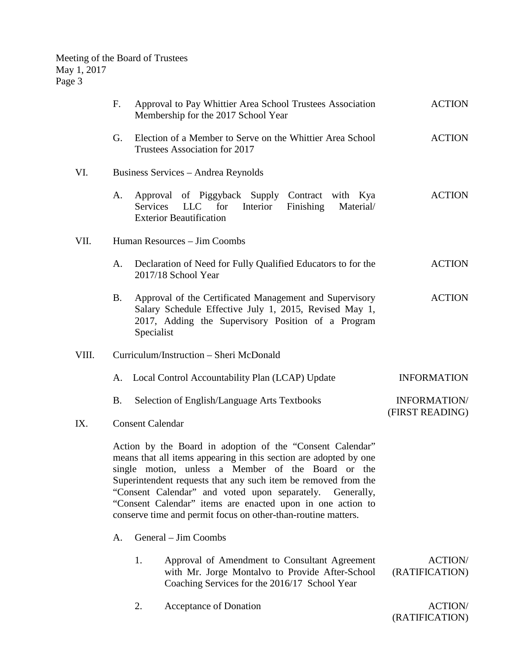|       | $F_{\cdot}$             |                                                                                                                                                                                                                                                                                                                                                                                                                                        | Approval to Pay Whittier Area School Trustees Association<br>Membership for the 2017 School Year                                                                        | <b>ACTION</b>                    |
|-------|-------------------------|----------------------------------------------------------------------------------------------------------------------------------------------------------------------------------------------------------------------------------------------------------------------------------------------------------------------------------------------------------------------------------------------------------------------------------------|-------------------------------------------------------------------------------------------------------------------------------------------------------------------------|----------------------------------|
|       | G.                      |                                                                                                                                                                                                                                                                                                                                                                                                                                        | Election of a Member to Serve on the Whittier Area School<br>Trustees Association for 2017                                                                              | <b>ACTION</b>                    |
| VI.   |                         |                                                                                                                                                                                                                                                                                                                                                                                                                                        | Business Services – Andrea Reynolds                                                                                                                                     |                                  |
|       | A.                      | Services                                                                                                                                                                                                                                                                                                                                                                                                                               | Approval of Piggyback Supply Contract with Kya<br>LLC 1<br>Interior<br>Finishing<br>for<br>Material/<br><b>Exterior Beautification</b>                                  | <b>ACTION</b>                    |
| VII.  |                         | Human Resources – Jim Coombs                                                                                                                                                                                                                                                                                                                                                                                                           |                                                                                                                                                                         |                                  |
|       | A.                      |                                                                                                                                                                                                                                                                                                                                                                                                                                        | Declaration of Need for Fully Qualified Educators to for the<br>2017/18 School Year                                                                                     | <b>ACTION</b>                    |
|       | <b>B.</b>               | Specialist                                                                                                                                                                                                                                                                                                                                                                                                                             | Approval of the Certificated Management and Supervisory<br>Salary Schedule Effective July 1, 2015, Revised May 1,<br>2017, Adding the Supervisory Position of a Program | <b>ACTION</b>                    |
| VIII. |                         | Curriculum/Instruction - Sheri McDonald                                                                                                                                                                                                                                                                                                                                                                                                |                                                                                                                                                                         |                                  |
|       | A.                      |                                                                                                                                                                                                                                                                                                                                                                                                                                        | Local Control Accountability Plan (LCAP) Update                                                                                                                         | <b>INFORMATION</b>               |
|       | <b>B.</b>               |                                                                                                                                                                                                                                                                                                                                                                                                                                        | Selection of English/Language Arts Textbooks                                                                                                                            | INFORMATION/<br>(FIRST READING)  |
| IX.   | <b>Consent Calendar</b> |                                                                                                                                                                                                                                                                                                                                                                                                                                        |                                                                                                                                                                         |                                  |
|       |                         | Action by the Board in adoption of the "Consent Calendar"<br>means that all items appearing in this section are adopted by one<br>single motion, unless a Member of the Board or the<br>Superintendent requests that any such item be removed from the<br>"Consent Calendar" and voted upon separately.<br>"Consent Calendar" items are enacted upon in one action to<br>conserve time and permit focus on other-than-routine matters. |                                                                                                                                                                         |                                  |
|       | A.                      |                                                                                                                                                                                                                                                                                                                                                                                                                                        | General – Jim Coombs                                                                                                                                                    |                                  |
|       |                         | 1.                                                                                                                                                                                                                                                                                                                                                                                                                                     | Approval of Amendment to Consultant Agreement<br>with Mr. Jorge Montalvo to Provide After-School<br>Coaching Services for the 2016/17 School Year                       | <b>ACTION/</b><br>(RATIFICATION) |
|       |                         | 2.                                                                                                                                                                                                                                                                                                                                                                                                                                     | Acceptance of Donation                                                                                                                                                  | <b>ACTION/</b>                   |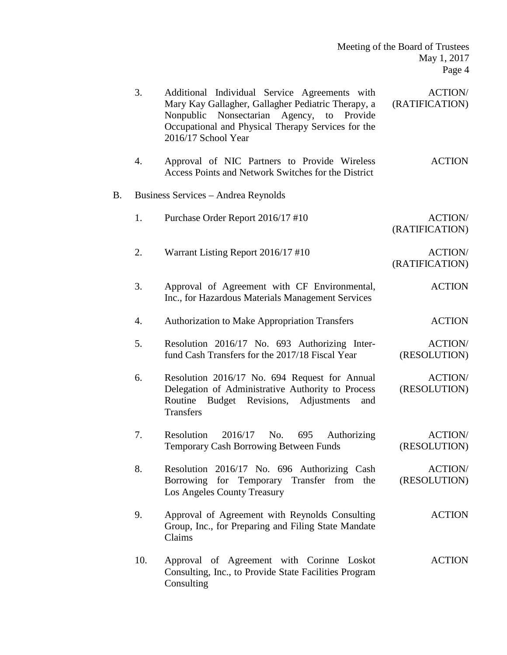|    | 3.  | Additional Individual Service Agreements with<br>Mary Kay Gallagher, Gallagher Pediatric Therapy, a<br>Nonpublic<br>Nonsectarian<br>Agency, to<br>Provide<br>Occupational and Physical Therapy Services for the<br>2016/17 School Year | <b>ACTION/</b><br>(RATIFICATION) |
|----|-----|----------------------------------------------------------------------------------------------------------------------------------------------------------------------------------------------------------------------------------------|----------------------------------|
|    | 4.  | Approval of NIC Partners to Provide Wireless<br>Access Points and Network Switches for the District                                                                                                                                    | <b>ACTION</b>                    |
| B. |     | Business Services - Andrea Reynolds                                                                                                                                                                                                    |                                  |
|    | 1.  | Purchase Order Report 2016/17 #10                                                                                                                                                                                                      | <b>ACTION/</b><br>(RATIFICATION) |
|    | 2.  | Warrant Listing Report 2016/17 #10                                                                                                                                                                                                     | <b>ACTION/</b><br>(RATIFICATION) |
|    | 3.  | Approval of Agreement with CF Environmental,<br>Inc., for Hazardous Materials Management Services                                                                                                                                      | <b>ACTION</b>                    |
|    | 4.  | <b>Authorization to Make Appropriation Transfers</b>                                                                                                                                                                                   | <b>ACTION</b>                    |
|    | 5.  | Resolution 2016/17 No. 693 Authorizing Inter-<br>fund Cash Transfers for the 2017/18 Fiscal Year                                                                                                                                       | <b>ACTION/</b><br>(RESOLUTION)   |
|    | 6.  | Resolution 2016/17 No. 694 Request for Annual<br>Delegation of Administrative Authority to Process<br>Budget Revisions, Adjustments<br>Routine<br>and<br><b>Transfers</b>                                                              | <b>ACTION/</b><br>(RESOLUTION)   |
|    | 7.  | Resolution<br>2016/17<br>695<br>Authorizing<br>No.<br><b>Temporary Cash Borrowing Between Funds</b>                                                                                                                                    | <b>ACTION/</b><br>(RESOLUTION)   |
|    | 8.  | Resolution 2016/17 No. 696 Authorizing Cash<br>Borrowing for Temporary Transfer from the<br>Los Angeles County Treasury                                                                                                                | <b>ACTION/</b><br>(RESOLUTION)   |
|    | 9.  | Approval of Agreement with Reynolds Consulting<br>Group, Inc., for Preparing and Filing State Mandate<br>Claims                                                                                                                        | <b>ACTION</b>                    |
|    | 10. | Approval of Agreement with Corinne Loskot<br>Consulting, Inc., to Provide State Facilities Program<br>Consulting                                                                                                                       | <b>ACTION</b>                    |